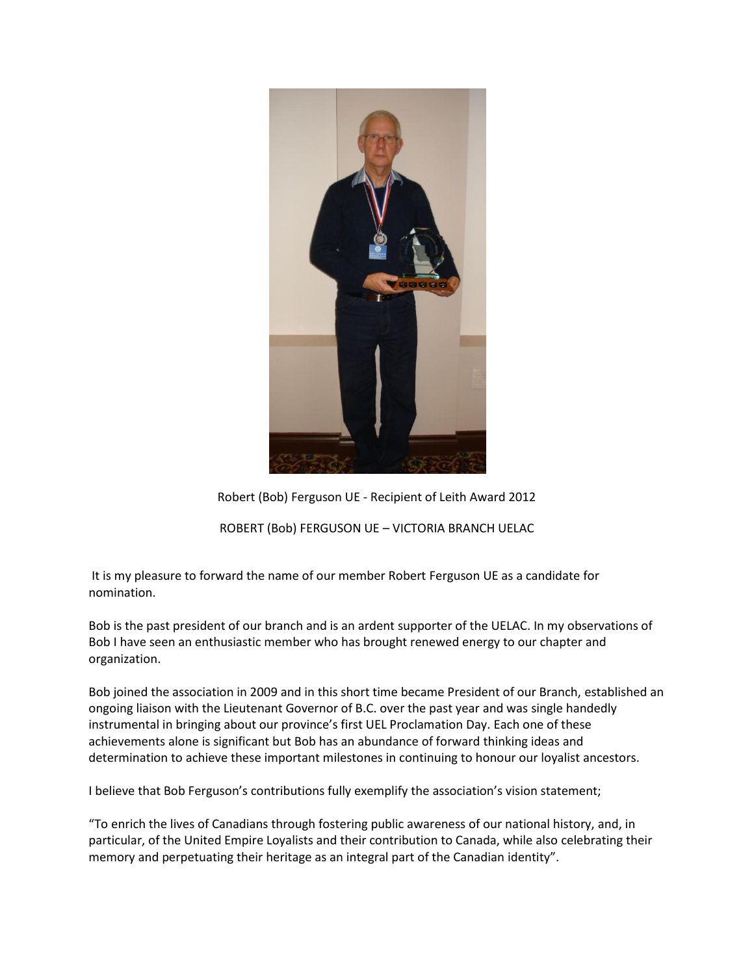

## Robert (Bob) Ferguson UE - Recipient of Leith Award 2012

ROBERT (Bob) FERGUSON UE – VICTORIA BRANCH UELAC

It is my pleasure to forward the name of our member Robert Ferguson UE as a candidate for nomination.

Bob is the past president of our branch and is an ardent supporter of the UELAC. In my observations of Bob I have seen an enthusiastic member who has brought renewed energy to our chapter and organization.

Bob joined the association in 2009 and in this short time became President of our Branch, established an ongoing liaison with the Lieutenant Governor of B.C. over the past year and was single handedly instrumental in bringing about our province's first UEL Proclamation Day. Each one of these achievements alone is significant but Bob has an abundance of forward thinking ideas and determination to achieve these important milestones in continuing to honour our loyalist ancestors.

I believe that Bob Ferguson's contributions fully exemplify the association's vision statement;

"To enrich the lives of Canadians through fostering public awareness of our national history, and, in particular, of the United Empire Loyalists and their contribution to Canada, while also celebrating their memory and perpetuating their heritage as an integral part of the Canadian identity".